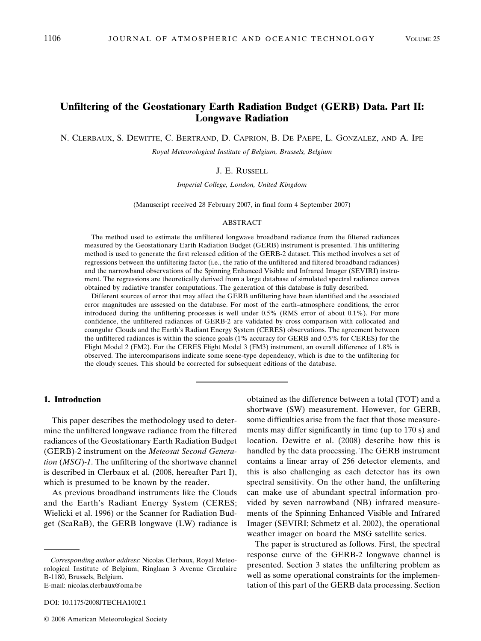# **Unfiltering of the Geostationary Earth Radiation Budget (GERB) Data. Part II: Longwave Radiation**

N. CLERBAUX, S. DEWITTE, C. BERTRAND, D. CAPRION, B. DE PAEPE, L. GONZALEZ, AND A. IPE

*Royal Meteorological Institute of Belgium, Brussels, Belgium*

## J. E. RUSSELL

*Imperial College, London, United Kingdom*

(Manuscript received 28 February 2007, in final form 4 September 2007)

#### ABSTRACT

The method used to estimate the unfiltered longwave broadband radiance from the filtered radiances measured by the Geostationary Earth Radiation Budget (GERB) instrument is presented. This unfiltering method is used to generate the first released edition of the GERB-2 dataset. This method involves a set of regressions between the unfiltering factor (i.e., the ratio of the unfiltered and filtered broadband radiances) and the narrowband observations of the Spinning Enhanced Visible and Infrared Imager (SEVIRI) instrument. The regressions are theoretically derived from a large database of simulated spectral radiance curves obtained by radiative transfer computations. The generation of this database is fully described.

Different sources of error that may affect the GERB unfiltering have been identified and the associated error magnitudes are assessed on the database. For most of the earth–atmosphere conditions, the error introduced during the unfiltering processes is well under 0.5% (RMS error of about 0.1%). For more confidence, the unfiltered radiances of GERB-2 are validated by cross comparison with collocated and coangular Clouds and the Earth's Radiant Energy System (CERES) observations. The agreement between the unfiltered radiances is within the science goals (1% accuracy for GERB and 0.5% for CERES) for the Flight Model 2 (FM2). For the CERES Flight Model 3 (FM3) instrument, an overall difference of 1.8% is observed. The intercomparisons indicate some scene-type dependency, which is due to the unfiltering for the cloudy scenes. This should be corrected for subsequent editions of the database.

#### **1. Introduction**

This paper describes the methodology used to determine the unfiltered longwave radiance from the filtered radiances of the Geostationary Earth Radiation Budget (GERB)-2 instrument on the *Meteosat Second Generation* (*MSG*)-*1*. The unfiltering of the shortwave channel is described in Clerbaux et al. (2008, hereafter Part I), which is presumed to be known by the reader.

As previous broadband instruments like the Clouds and the Earth's Radiant Energy System (CERES; Wielicki et al. 1996) or the Scanner for Radiation Budget (ScaRaB), the GERB longwave (LW) radiance is obtained as the difference between a total (TOT) and a shortwave (SW) measurement. However, for GERB, some difficulties arise from the fact that those measurements may differ significantly in time (up to 170 s) and location. Dewitte et al. (2008) describe how this is handled by the data processing. The GERB instrument contains a linear array of 256 detector elements, and this is also challenging as each detector has its own spectral sensitivity. On the other hand, the unfiltering can make use of abundant spectral information provided by seven narrowband (NB) infrared measurements of the Spinning Enhanced Visible and Infrared Imager (SEVIRI; Schmetz et al. 2002), the operational weather imager on board the MSG satellite series.

The paper is structured as follows. First, the spectral response curve of the GERB-2 longwave channel is presented. Section 3 states the unfiltering problem as well as some operational constraints for the implementation of this part of the GERB data processing. Section

*Corresponding author address:* Nicolas Clerbaux, Royal Meteorological Institute of Belgium, Ringlaan 3 Avenue Circulaire B-1180, Brussels, Belgium. E-mail: nicolas.clerbaux@oma.be

DOI: 10.1175/2008JTECHA1002.1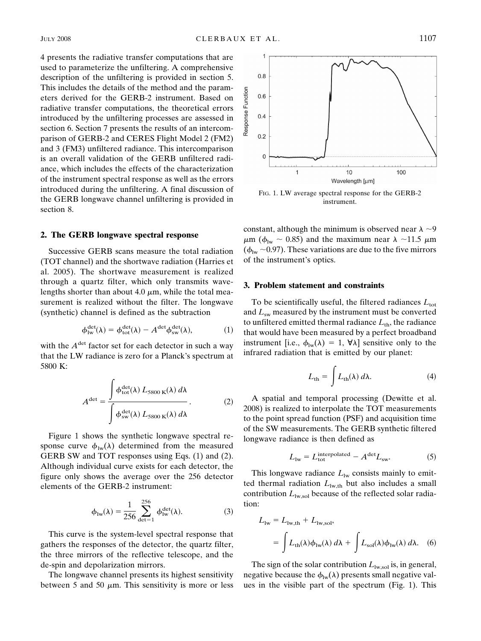4 presents the radiative transfer computations that are used to parameterize the unfiltering. A comprehensive description of the unfiltering is provided in section 5. This includes the details of the method and the parameters derived for the GERB-2 instrument. Based on radiative transfer computations, the theoretical errors introduced by the unfiltering processes are assessed in section 6. Section 7 presents the results of an intercomparison of GERB-2 and CERES Flight Model 2 (FM2) and 3 (FM3) unfiltered radiance. This intercomparison is an overall validation of the GERB unfiltered radiance, which includes the effects of the characterization of the instrument spectral response as well as the errors introduced during the unfiltering. A final discussion of the GERB longwave channel unfiltering is provided in section 8.

## **2. The GERB longwave spectral response**

Successive GERB scans measure the total radiation (TOT channel) and the shortwave radiation (Harries et al. 2005). The shortwave measurement is realized through a quartz filter, which only transmits wavelengths shorter than about 4.0  $\mu$ m, while the total measurement is realized without the filter. The longwave (synthetic) channel is defined as the subtraction

$$
\phi_{\text{lw}}^{\text{det}}(\lambda) = \phi_{\text{tot}}^{\text{det}}(\lambda) - A^{\text{det}}\phi_{\text{sw}}^{\text{det}}(\lambda),\tag{1}
$$

with the  $A^{\text{det}}$  factor set for each detector in such a way that the LW radiance is zero for a Planck's spectrum at 5800 K:

$$
A^{\text{det}} = \frac{\int \phi_{\text{tot}}^{\text{det}}(\lambda) L_{5800 \text{ K}}(\lambda) d\lambda}{\int \phi_{\text{sw}}^{\text{det}}(\lambda) L_{5800 \text{ K}}(\lambda) d\lambda}.
$$
 (2)

Figure 1 shows the synthetic longwave spectral response curve  $\phi_{\text{lw}}(\lambda)$  determined from the measured GERB SW and TOT responses using Eqs. (1) and (2). Although individual curve exists for each detector, the figure only shows the average over the 256 detector elements of the GERB-2 instrument:

$$
\phi_{\text{1w}}(\lambda) = \frac{1}{256} \sum_{\text{det}=1}^{256} \phi_{\text{1w}}^{\text{det}}(\lambda). \tag{3}
$$

This curve is the system-level spectral response that gathers the responses of the detector, the quartz filter, the three mirrors of the reflective telescope, and the de-spin and depolarization mirrors.

The longwave channel presents its highest sensitivity between 5 and 50  $\mu$ m. This sensitivity is more or less



FIG. 1. LW average spectral response for the GERB-2 instrument.

constant, although the minimum is observed near  $\lambda \sim 9$  $\mu$ m ( $\phi_{\text{lw}} \sim 0.85$ ) and the maximum near  $\lambda \sim 11.5 \mu$ m  $(\phi_{\text{lw}} \sim 0.97)$ . These variations are due to the five mirrors of the instrument's optics.

#### **3. Problem statement and constraints**

To be scientifically useful, the filtered radiances  $L_{\text{tot}}$ and  $L_{sw}$  measured by the instrument must be converted to unfiltered emitted thermal radiance  $L_{\text{th}}$ , the radiance that would have been measured by a perfect broadband instrument [i.e.,  $\phi_{\text{lw}}(\lambda) = 1$ ,  $\forall \lambda$ ] sensitive only to the infrared radiation that is emitted by our planet:

$$
L_{\rm th} = \int L_{\rm th}(\lambda) \, d\lambda. \tag{4}
$$

A spatial and temporal processing (Dewitte et al. 2008) is realized to interpolate the TOT measurements to the point spread function (PSF) and acquisition time of the SW measurements. The GERB synthetic filtered longwave radiance is then defined as

$$
L_{\text{lw}} = L_{\text{tot}}^{\text{interpolated}} - A^{\text{det}} L_{\text{sw}}.\tag{5}
$$

This longwave radiance  $L_{\text{lw}}$  consists mainly to emitted thermal radiation  $L_{\text{lw},\text{th}}$  but also includes a small contribution  $L_{\text{lw},\text{sol}}$  because of the reflected solar radiation:

$$
L_{\text{lw}} = L_{\text{lw},\text{th}} + L_{\text{lw},\text{sol}},
$$
  
= 
$$
\int L_{\text{th}}(\lambda)\phi_{\text{lw}}(\lambda) d\lambda + \int L_{\text{sol}}(\lambda)\phi_{\text{lw}}(\lambda) d\lambda.
$$
 (6)

The sign of the solar contribution  $L_{\text{lw},\text{sol}}$  is, in general, negative because the  $\phi_{\text{lw}}(\lambda)$  presents small negative values in the visible part of the spectrum (Fig. 1). This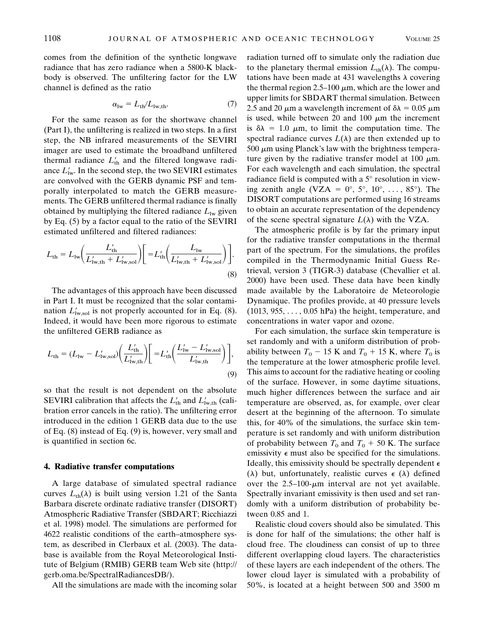comes from the definition of the synthetic longwave radiance that has zero radiance when a 5800-K blackbody is observed. The unfiltering factor for the LW channel is defined as the ratio

$$
\alpha_{\text{lw}} = L_{\text{th}} / L_{\text{lw},\text{th}}.\tag{7}
$$

For the same reason as for the shortwave channel (Part I), the unfiltering is realized in two steps. In a first step, the NB infrared measurements of the SEVIRI imager are used to estimate the broadband unfiltered thermal radiance  $L'_{\text{th}}$  and the filtered longwave radiance  $L'_{\text{lw}}$ . In the second step, the two SEVIRI estimates are convolved with the GERB dynamic PSF and temporally interpolated to match the GERB measurements. The GERB unfiltered thermal radiance is finally obtained by multiplying the filtered radiance  $L_{\text{lw}}$  given by Eq. (5) by a factor equal to the ratio of the SEVIRI estimated unfiltered and filtered radiances:

$$
L_{\rm th} = L_{\rm lw} \bigg( \frac{L_{\rm th}'}{L_{\rm lw,th}'+L_{\rm lw,sol}'} \bigg) \bigg[ = L_{\rm th}' \bigg( \frac{L_{\rm lw}}{L_{\rm lw,th}'+L_{\rm lw,sol}'} \bigg) \bigg].
$$
\n(8)

The advantages of this approach have been discussed in Part I. It must be recognized that the solar contamination  $L'_{\text{lw},\text{sol}}$  is not properly accounted for in Eq. (8). Indeed, it would have been more rigorous to estimate the unfiltered GERB radiance as

$$
L_{\rm th} = (L_{\rm lw} - L'_{\rm lw, sol}) \left( \frac{L'_{\rm th}}{L'_{\rm lw, th}} \right) \left[ = L'_{\rm th} \left( \frac{L'_{\rm lw} - L'_{\rm lw, sol}}{L'_{\rm lw, th}} \right) \right],\tag{9}
$$

so that the result is not dependent on the absolute SEVIRI calibration that affects the  $L'_{th}$  and  $L'_{\text{lw,th}}$  (calibration error cancels in the ratio). The unfiltering error introduced in the edition 1 GERB data due to the use of Eq. (8) instead of Eq. (9) is, however, very small and is quantified in section 6c.

#### **4. Radiative transfer computations**

A large database of simulated spectral radiance curves  $L_{th}(\lambda)$  is built using version 1.21 of the Santa Barbara discrete ordinate radiative transfer (DISORT) Atmospheric Radiative Transfer (SBDART; Ricchiazzi et al. 1998) model. The simulations are performed for 4622 realistic conditions of the earth–atmosphere system, as described in Clerbaux et al. (2003). The database is available from the Royal Meteorological Institute of Belgium (RMIB) GERB team Web site (http:// gerb.oma.be/SpectralRadiancesDB/).

All the simulations are made with the incoming solar

radiation turned off to simulate only the radiation due to the planetary thermal emission  $L_{th}(\lambda)$ . The computations have been made at 431 wavelengths  $\lambda$  covering the thermal region 2.5–100  $\mu$ m, which are the lower and upper limits for SBDART thermal simulation. Between 2.5 and 20  $\mu$ m a wavelength increment of  $\delta \lambda = 0.05 \ \mu$ m is used, while between 20 and 100  $\mu$ m the increment is  $\delta \lambda = 1.0 \mu m$ , to limit the computation time. The spectral radiance curves  $L(\lambda)$  are then extended up to  $500 \mu m$  using Planck's law with the brightness temperature given by the radiative transfer model at 100  $\mu$ m. For each wavelength and each simulation, the spectral radiance field is computed with a 5° resolution in viewing zenith angle (VZA =  $0^\circ$ ,  $5^\circ$ ,  $10^\circ$ , ...,  $85^\circ$ ). The DISORT computations are performed using 16 streams to obtain an accurate representation of the dependency of the scene spectral signature  $L(\lambda)$  with the VZA.

The atmospheric profile is by far the primary input for the radiative transfer computations in the thermal part of the spectrum. For the simulations, the profiles compiled in the Thermodynamic Initial Guess Retrieval, version 3 (TIGR-3) database (Chevallier et al. 2000) have been used. These data have been kindly made available by the Laboratoire de Meteorologie Dynamique. The profiles provide, at 40 pressure levels  $(1013, 955, \ldots, 0.05 \text{ hPa})$  the height, temperature, and concentrations in water vapor and ozone.

For each simulation, the surface skin temperature is set randomly and with a uniform distribution of probability between  $T_0$  – 15 K and  $T_0$  + 15 K, where  $T_0$  is the temperature at the lower atmospheric profile level. This aims to account for the radiative heating or cooling of the surface. However, in some daytime situations, much higher differences between the surface and air temperature are observed, as, for example, over clear desert at the beginning of the afternoon. To simulate this, for 40% of the simulations, the surface skin temperature is set randomly and with uniform distribution of probability between  $T_0$  and  $T_0$  + 50 K. The surface emissivity  $\epsilon$  must also be specified for the simulations. Ideally, this emissivity should be spectrally dependent  $\epsilon$  $(\lambda)$  but, unfortunately, realistic curves  $\epsilon$  ( $\lambda$ ) defined over the  $2.5-100$ - $\mu$ m interval are not yet available. Spectrally invariant emissivity is then used and set randomly with a uniform distribution of probability between 0.85 and 1.

Realistic cloud covers should also be simulated. This is done for half of the simulations; the other half is cloud free. The cloudiness can consist of up to three different overlapping cloud layers. The characteristics of these layers are each independent of the others. The lower cloud layer is simulated with a probability of 50%, is located at a height between 500 and 3500 m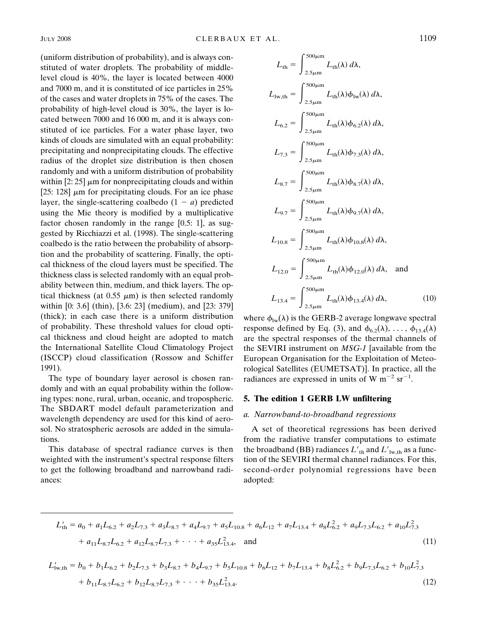(uniform distribution of probability), and is always constituted of water droplets. The probability of middlelevel cloud is 40%, the layer is located between 4000 and 7000 m, and it is constituted of ice particles in 25% of the cases and water droplets in 75% of the cases. The probability of high-level cloud is 30%, the layer is located between 7000 and 16 000 m, and it is always constituted of ice particles. For a water phase layer, two kinds of clouds are simulated with an equal probability: precipitating and nonprecipitating clouds. The effective radius of the droplet size distribution is then chosen randomly and with a uniform distribution of probability within [2: 25]  $\mu$ m for nonprecipitating clouds and within [25: 128]  $\mu$ m for precipitating clouds. For an ice phase layer, the single-scattering coalbedo  $(1 - a)$  predicted using the Mie theory is modified by a multiplicative factor chosen randomly in the range [0.5: 1], as suggested by Ricchiazzi et al. (1998). The single-scattering coalbedo is the ratio between the probability of absorption and the probability of scattering. Finally, the optical thickness of the cloud layers must be specified. The thickness class is selected randomly with an equal probability between thin, medium, and thick layers. The optical thickness (at 0.55  $\mu$ m) is then selected randomly within [0: 3.6] (thin), [3.6: 23] (medium), and [23: 379] (thick); in each case there is a uniform distribution of probability. These threshold values for cloud optical thickness and cloud height are adopted to match the International Satellite Cloud Climatology Project (ISCCP) cloud classification (Rossow and Schiffer 1991).

The type of boundary layer aerosol is chosen randomly and with an equal probability within the following types: none, rural, urban, oceanic, and tropospheric. The SBDART model default parameterization and wavelength dependency are used for this kind of aerosol. No stratospheric aerosols are added in the simulations.

This database of spectral radiance curves is then weighted with the instrument's spectral response filters to get the following broadband and narrowband radiances:

$$
L_{th} = \int_{2.5\mu m}^{500\mu m} L_{th}(\lambda) d\lambda,
$$
  
\n
$$
L_{1w,th} = \int_{2.5\mu m}^{500\mu m} L_{th}(\lambda) \phi_{1w}(\lambda) d\lambda,
$$
  
\n
$$
L_{6.2} = \int_{2.5\mu m}^{500\mu m} L_{th}(\lambda) \phi_{6.2}(\lambda) d\lambda,
$$
  
\n
$$
L_{7.3} = \int_{2.5\mu m}^{500\mu m} L_{th}(\lambda) \phi_{7.3}(\lambda) d\lambda,
$$
  
\n
$$
L_{8.7} = \int_{2.5\mu m}^{500\mu m} L_{th}(\lambda) \phi_{8.7}(\lambda) d\lambda,
$$
  
\n
$$
L_{9.7} = \int_{2.5\mu m}^{500\mu m} L_{th}(\lambda) \phi_{9.7}(\lambda) d\lambda,
$$
  
\n
$$
L_{10.8} = \int_{2.5\mu m}^{500\mu m} L_{th}(\lambda) \phi_{10.8}(\lambda) d\lambda,
$$
  
\n
$$
L_{12.0} = \int_{2.5\mu m}^{500\mu m} L_{th}(\lambda) \phi_{12.0}(\lambda) d\lambda,
$$
 and  
\n
$$
L_{13.4} = \int_{2.5\mu m}^{500\mu m} L_{th}(\lambda) \phi_{13.4}(\lambda) d\lambda,
$$
 (10)

where  $\phi_{\text{lw}}(\lambda)$  is the GERB-2 average longwave spectral response defined by Eq. (3), and  $\phi_{6.2}(\lambda), \ldots, \phi_{13.4}(\lambda)$ are the spectral responses of the thermal channels of the SEVIRI instrument on *MSG-1* [available from the European Organisation for the Exploitation of Meteorological Satellites (EUMETSAT)]. In practice, all the radiances are expressed in units of W  $m^{-2}$  sr<sup>-1</sup>.

#### **5. The edition 1 GERB LW unfiltering**

## *a. Narrowband-to-broadband regressions*

A set of theoretical regressions has been derived from the radiative transfer computations to estimate the broadband (BB) radiances  $L'_{th}$  and  $L'_{lwh}$  as a function of the SEVIRI thermal channel radiances. For this, second-order polynomial regressions have been adopted:

$$
L'_{\text{th}} = a_0 + a_1 L_{6,2} + a_2 L_{7,3} + a_3 L_{8,7} + a_4 L_{9,7} + a_5 L_{10,8} + a_6 L_{12} + a_7 L_{13,4} + a_8 L_{6,2}^2 + a_9 L_{7,3} L_{6,2} + a_{10} L_{7,3}^2
$$
  
+  $a_{11} L_{8,7} L_{6,2} + a_{12} L_{8,7} L_{7,3} + \cdots + a_{35} L_{13,4}^2$ , and (11)

$$
L'_{\text{lw},\text{th}} = b_0 + b_1 L_{6,2} + b_2 L_{7,3} + b_3 L_{8,7} + b_4 L_{9,7} + b_5 L_{10,8} + b_6 L_{12} + b_7 L_{13,4} + b_8 L_{6,2}^2 + b_9 L_{7,3} L_{6,2} + b_{10} L_{7,3}^2 + b_{11} L_{8,7} L_{6,2} + b_{12} L_{8,7} L_{7,3} + \cdots + b_{35} L_{13,4}^2. \tag{12}
$$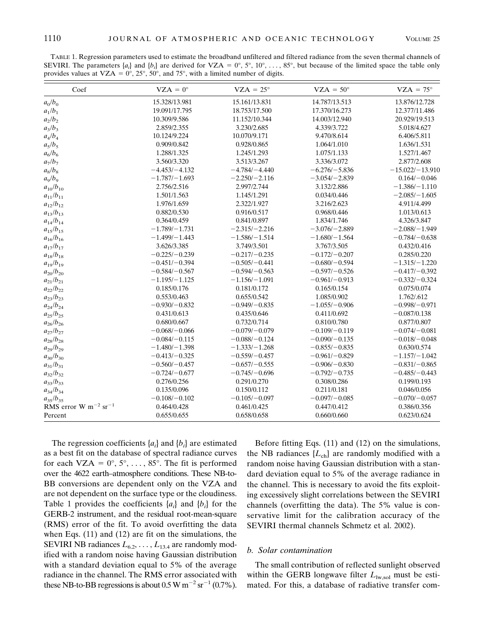TABLE 1. Regression parameters used to estimate the broadband unfiltered and filtered radiance from the seven thermal channels of SEVIRI. The parameters  $\{a_i\}$  and  $\{b_i\}$  are derived for VZA =  $0^\circ$ ,  $5^\circ$ ,  $10^\circ$ , ...,  $85^\circ$ , but because of the limited space the table only provides values at VZA =  $0^{\circ}$ ,  $25^{\circ}$ ,  $50^{\circ}$ , and  $75^{\circ}$ , with a limited number of digits.

| Coef                                  | $VZA = 0^\circ$  | $VZA = 25^\circ$ | $VZA = 50^\circ$ | $VZA = 75^\circ$  |
|---------------------------------------|------------------|------------------|------------------|-------------------|
| $a_0/b_0$                             | 15.328/13.981    | 15.161/13.831    | 14.787/13.513    | 13.876/12.728     |
| $a_1/b_1$                             | 19.091/17.795    | 18.753/17.500    | 17.370/16.273    | 12.377/11.486     |
| $a_2/b_2$                             | 10.309/9.586     | 11.152/10.344    | 14.003/12.940    | 20.929/19.513     |
| $a_3/b_3$                             | 2.859/2.355      | 3.230/2.685      | 4.339/3.722      | 5.018/4.627       |
| $a_4/b_4$                             | 10.124/9.224     | 10.070/9.171     | 9.470/8.614      | 6.406/5.811       |
| $a_5/b_5$                             | 0.909/0.842      | 0.928/0.865      | 1.064/1.010      | 1.636/1.531       |
| $a_6/b_6$                             | 1.288/1.325      | 1.245/1.293      | 1.075/1.133      | 1.527/1.467       |
| $a_7/b_7$                             | 3.560/3.320      | 3.513/3.267      | 3.336/3.072      | 2.877/2.608       |
| $a_8/b_8$                             | $-4.453/-4.132$  | $-4.784/-4.440$  | $-6.276/-5.836$  | $-15.022/-13.910$ |
| $a_9/b_9$                             | $-1.787/-1.693$  | $-2.250/-2.116$  | $-3.054/-2.839$  | $0.164/-0.046$    |
| $a_{10}/b_{10}$                       | 2.756/2.516      | 2.997/2.744      | 3.132/2.886      | $-1.386/-1.110$   |
| $a_{11}/b_{11}$                       | 1.501/1.563      | 1.145/1.291      | 0.034/0.446      | $-2.085/-1.605$   |
| $a_{12}/b_{12}$                       | 1.976/1.659      | 2.322/1.927      | 3.216/2.623      | 4.911/4.499       |
| $a_{13}/b_{13}$                       | 0.882/0.530      | 0.916/0.517      | 0.968/0.446      | 1.013/0.613       |
| $a_{14}/b_{14}$                       | 0.364/0.459      | 0.841/0.897      | 1.834/1.746      | 4.326/3.847       |
| $a_{15}/b_{15}$                       | $-1.789 - 1.731$ | $-2.315/-2.216$  | $-3.076/-2.889$  | $-2.088/-1.949$   |
| $a_{16}/b_{16}$                       | $-1.499/-1.443$  | $-1.586/-1.514$  | $-1.680/-1.564$  | $-0.784/-0.638$   |
| $a_{17}/b_{17}$                       | 3.626/3.385      | 3.749/3.501      | 3.767/3.505      | 0.432/0.416       |
| $a_{18}/b_{18}$                       | $-0.225/-0.239$  | $-0.217/-0.235$  | $-0.172/-0.207$  | 0.285/0.220       |
| $a_{19}/b_{19}$                       | $-0.451/-0.394$  | $-0.505/-0.441$  | $-0.680/-0.594$  | $-1.315/-1.220$   |
| $a_{20}/b_{20}$                       | $-0.584/-0.567$  | $-0.594/-0.563$  | $-0.597/-0.526$  | $-0.417/-0.392$   |
| $a_{21}/b_{21}$                       | $-1.195/-1.125$  | $-1.156/-1.091$  | $-0.961/-0.913$  | $-0.332/-0.324$   |
| $a_{22}/b_{22}$                       | 0.185/0.176      | 0.181/0.172      | 0.165/0.154      | 0.075/0.074       |
| $a_{23}/b_{23}$                       | 0.553/0.463      | 0.655/0.542      | 1.085/0.902      | 1.762/.612        |
| $a_{24}/b_{24}$                       | $-0.930/-0.832$  | $-0.949/-0.835$  | $-1.055/-0.906$  | $-0.998/-0.971$   |
| $a_{25}/b_{25}$                       | 0.431/0.613      | 0.435/0.646      | 0.411/0.692      | $-0.087/0.138$    |
| $a_{26}/b_{26}$                       | 0.680/0.667      | 0.732/0.714      | 0.810/0.780      | 0.877/0.807       |
| $a_{27}/b_{27}$                       | $-0.068/-0.066$  | $-0.079 - 0.079$ | $-0.109/-0.119$  | $-0.074/-0.081$   |
| $a_{28}/b_{28}$                       | $-0.084/-0.115$  | $-0.088/-0.124$  | $-0.090/-0.135$  | $-0.018/-0.048$   |
| $a_{29}/b_{29}$                       | $-1.480/-1.398$  | $-1.333/-1.268$  | $-0.855/-0.835$  | 0.630/0.574       |
| $a_{30}/b_{30}$                       | $-0.413/-0.325$  | $-0.559/-0.457$  | $-0.961/-0.829$  | $-1.157/-1.042$   |
| $a_{31}/b_{31}$                       | $-0.560/-0.457$  | $-0.657/-0.555$  | $-0.906/-0.830$  | $-0.831/-0.865$   |
| $a_{32}/b_{32}$                       | $-0.724 - 0.677$ | $-0.745/-0.696$  | $-0.792/-0.735$  | $-0.485/-0.443$   |
| $a_{33}/b_{33}$                       | 0.276/0.256      | 0.291/0.270      | 0.308/0.286      | 0.199/0.193       |
| $a_{34}/b_{34}$                       | 0.135/0.096      | 0.150/0.112      | 0.211/0.181      | 0.046/0.056       |
| $a_{35}/b_{35}$                       | $-0.108/-0.102$  | $-0.105/-0.097$  | $-0.097/-0.085$  | $-0.070/-0.057$   |
| RMS error W $m^{-2}$ sr <sup>-1</sup> | 0.464/0.428      | 0.461/0.425      | 0.447/0.412      | 0.386/0.356       |
| Percent                               | 0.655/0.655      | 0.658/0.658      | 0.660/0.660      | 0.623/0.624       |

The regression coefficients {*ai* } and {*bi* } are estimated as a best fit on the database of spectral radiance curves for each VZA =  $0^{\circ}$ ,  $5^{\circ}$ , ..., 85°. The fit is performed over the 4622 earth–atmosphere conditions. These NB-to-BB conversions are dependent only on the VZA and are not dependent on the surface type or the cloudiness. Table 1 provides the coefficients  $\{a_i\}$  and  $\{b_i\}$  for the GERB-2 instrument, and the residual root-mean-square (RMS) error of the fit. To avoid overfitting the data when Eqs. (11) and (12) are fit on the simulations, the SEVIRI NB radiances  $L_{6.2}, \ldots, L_{13.4}$  are randomly modified with a random noise having Gaussian distribution with a standard deviation equal to 5% of the average radiance in the channel. The RMS error associated with these NB-to-BB regressions is about 0.5 W  $\text{m}^{-2}$  sr<sup>-1</sup> (0.7%).

Before fitting Eqs. (11) and (12) on the simulations, the NB radiances  ${L_{ch}}$  are randomly modified with a random noise having Gaussian distribution with a standard deviation equal to 5% of the average radiance in the channel. This is necessary to avoid the fits exploiting excessively slight correlations between the SEVIRI channels (overfitting the data). The 5% value is conservative limit for the calibration accuracy of the SEVIRI thermal channels Schmetz et al. 2002).

## *b. Solar contamination*

The small contribution of reflected sunlight observed within the GERB longwave filter  $L_{\text{lw},\text{sol}}$  must be estimated. For this, a database of radiative transfer com-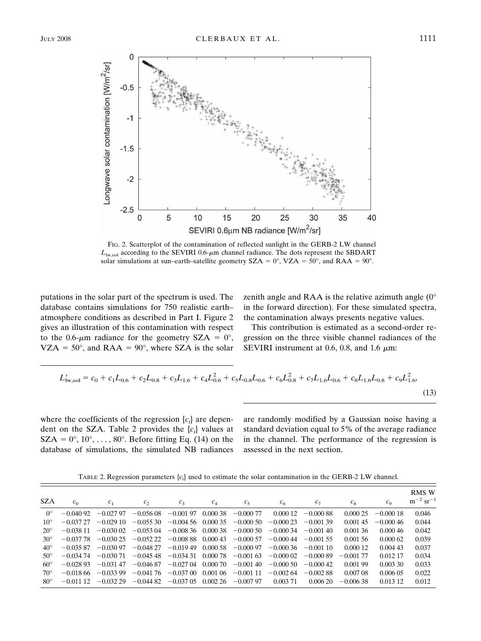

FIG. 2. Scatterplot of the contamination of reflected sunlight in the GERB-2 LW channel  $L_{\text{lw},\text{sol}}$  according to the SEVIRI 0.6- $\mu$ m channel radiance. The dots represent the SBDART solar simulations at sun–earth–satellite geometry  $SZA = 0^\circ$ ,  $VZA = 50^\circ$ , and RAA = 90°.

putations in the solar part of the spectrum is used. The database contains simulations for 750 realistic earth– atmosphere conditions as described in Part I. Figure 2 gives an illustration of this contamination with respect to the 0.6- $\mu$ m radiance for the geometry SZA = 0°,  $VZA = 50^\circ$ , and RAA = 90°, where SZA is the solar

zenith angle and RAA is the relative azimuth angle  $(0^{\circ})$ in the forward direction). For these simulated spectra, the contamination always presents negative values.

This contribution is estimated as a second-order regression on the three visible channel radiances of the SEVIRI instrument at 0.6, 0.8, and 1.6  $\mu$ m:

$$
L'_{\text{iw,sol}} = c_0 + c_1 L_{0.6} + c_2 L_{0.8} + c_3 L_{1.6} + c_4 L_{0.6}^2 + c_5 L_{0.8} L_{0.6} + c_6 L_{0.8}^2 + c_7 L_{1.6} L_{0.6} + c_8 L_{1.6} L_{0.8} + c_9 L_{1.6}^2,
$$
\n
$$
(13)
$$

where the coefficients of the regression  $\{c_i\}$  are dependent on the SZA. Table 2 provides the {*ci* } values at  $SZA = 0^{\circ}, 10^{\circ}, \ldots, 80^{\circ}$ . Before fitting Eq. (14) on the database of simulations, the simulated NB radiances are randomly modified by a Gaussian noise having a standard deviation equal to 5% of the average radiance in the channel. The performance of the regression is assessed in the next section.

TABLE 2. Regression parameters  $\{c_i\}$  used to estimate the solar contamination in the GERB-2 LW channel.

| <b>SZA</b>   | c <sub>0</sub> | c <sub>1</sub> | $c_{2}$      | $c_3$       | $c_4$       | $c_{5}$     | c <sub>6</sub> | $c_7$       | $c_8$       | $c_{\rm o}$ | <b>RMS W</b><br>$\rm m^{-2} \, sr^{-1}$ |
|--------------|----------------|----------------|--------------|-------------|-------------|-------------|----------------|-------------|-------------|-------------|-----------------------------------------|
| $0^{\circ}$  | $-0.04092$     | $-0.02797$     | $-0.05608$   | $-0.001$ 97 | 0.00038     | $-0.00077$  | 0.00012        | $-0.00088$  | 0.00025     | $-0.00018$  | 0.046                                   |
| $10^{\circ}$ | $-0.03727$     | $-0.02910$     | $-0.05530$   | $-0.00456$  | 0.00035     | $-0.00050$  | $-0.00023$     | $-0.001$ 39 | 0.001.45    | $-0.00046$  | 0.044                                   |
| $20^{\circ}$ | $-0.03811$     | $-0.03002$     | $-0.05304$   | $-0.00836$  | 0.00038     | $-0.00050$  | $-0.00034$     | $-0.00140$  | 0.00136     | 0.00046     | 0.042                                   |
| $30^\circ$   | $-0.037.78$    | $-0.03025$     | $-0.05222$   | $-0.00888$  | 0.00043     | $-0.00057$  | $-0.00044$     | $-0.001$ 55 | 0.00156     | 0.00062     | 0.039                                   |
| $40^{\circ}$ | $-0.035.87$    | $-0.03097$     | $-0.04827$   | $-0.01949$  | 0.00058     | $-0.00097$  | $-0.00036$     | $-0.00110$  | 0.00012     | 0.00443     | 0.037                                   |
| $50^\circ$   | $-0.034\ 74$   | $-0.030\,71$   | $-0.04548$   | $-0.03431$  | 0.00078     | $-0.00163$  | $-0.00002$     | $-0.00089$  | $-0.001$ 77 | 0.012.17    | 0.034                                   |
| $60^\circ$   | $-0.02893$     | $-0.03147$     | $-0.04687$   | $-0.02704$  | $0.000\ 70$ | $-0.00140$  | $-0.00050$     | $-0.00042$  | 0.001.99    | 0.003330    | 0.033                                   |
| $70^{\circ}$ | $-0.01866$     | $-0.03399$     | $-0.041\,76$ | $-0.03700$  | 0.00106     | $-0.001$ 11 | $-0.00264$     | $-0.002.88$ | 0.007.08    | 0.00605     | 0.022                                   |
| $80^\circ$   | $-0.011$ 12    | $-0.032.29$    | $-0.04482$   | $-0.03705$  | 0.00226     | $-0.00797$  | 0.00371        | 0.00620     | $-0.00638$  | 0.013 12    | 0.012                                   |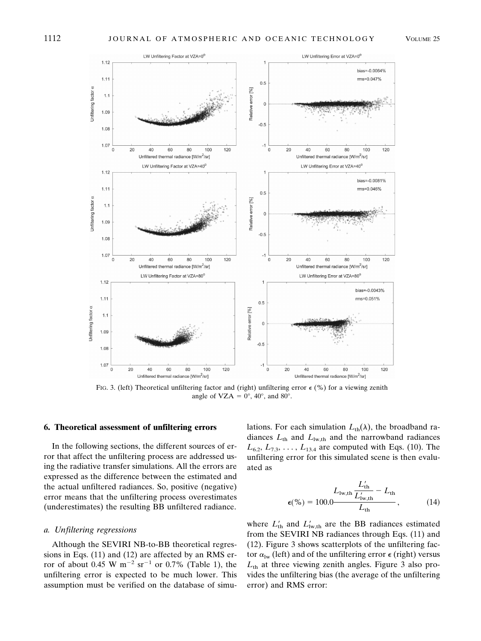

FIG. 3. (left) Theoretical unfiltering factor and (right) unfiltering error  $\epsilon$  (%) for a viewing zenith angle of  $VZA = 0^\circ$ , 40°, and 80°.

#### **6. Theoretical assessment of unfiltering errors**

In the following sections, the different sources of error that affect the unfiltering process are addressed using the radiative transfer simulations. All the errors are expressed as the difference between the estimated and the actual unfiltered radiances. So, positive (negative) error means that the unfiltering process overestimates (underestimates) the resulting BB unfiltered radiance.

#### *a. Unfiltering regressions*

Although the SEVIRI NB-to-BB theoretical regressions in Eqs. (11) and (12) are affected by an RMS error of about 0.45 W  $\mathrm{m}^{-2}$  sr<sup>-1</sup> or 0.7% (Table 1), the unfiltering error is expected to be much lower. This assumption must be verified on the database of simulations. For each simulation  $L_{th}(\lambda)$ , the broadband radiances  $L_{th}$  and  $L_{lw,th}$  and the narrowband radiances  $L_{6.2}, L_{7.3}, \ldots, L_{13.4}$  are computed with Eqs. (10). The unfiltering error for this simulated scene is then evaluated as

$$
L_{\text{lw,th}} \frac{L_{\text{th}}'}{L_{\text{lw,th}}' - L_{\text{th}}} - L_{\text{th}}
$$
  

$$
\epsilon(\% ) = 100.0 \frac{L_{\text{lw,th}}'}{L_{\text{th}}} - (14)
$$

where  $L'_{\text{th}}$  and  $L'_{\text{lw,th}}$  are the BB radiances estimated from the SEVIRI NB radiances through Eqs. (11) and (12). Figure 3 shows scatterplots of the unfiltering factor  $\alpha_{\text{lw}}$  (left) and of the unfiltering error  $\epsilon$  (right) versus  $L<sub>th</sub>$  at three viewing zenith angles. Figure 3 also provides the unfiltering bias (the average of the unfiltering error) and RMS error: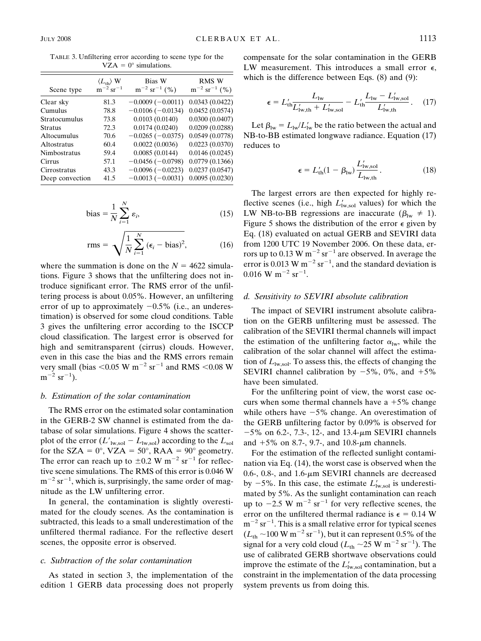TABLE 3. Unfiltering error according to scene type for the VZA =  $0^{\circ}$  simulations.

| Scene type      | $\langle L_{th} \rangle$ W<br>$m^{-2}$ sr <sup>-1</sup> | Bias W<br>$m^{-2}$ sr <sup>-1</sup> (%) | RMS W<br>$m^{-2}$ sr <sup>-1</sup> (%) |
|-----------------|---------------------------------------------------------|-----------------------------------------|----------------------------------------|
| Clear sky       | 81.3                                                    | $-0.0009(-0.0011)$                      | 0.0343(0.0422)                         |
| Cumulus         | 78.8                                                    | $-0.0106(-0.0134)$                      | 0.0452(0.0574)                         |
| Stratocumulus   | 73.8                                                    | 0.0103(0.0140)                          | 0.0300(0.0407)                         |
| <b>Stratus</b>  | 72.3                                                    | 0.0174(0.0240)                          | 0.0209(0.0288)                         |
| Altocumulus     | 70.6                                                    | $-0.0265(-0.0375)$                      | 0.0549(0.0778)                         |
| Altostratus     | 60.4                                                    | 0.0022(0.0036)                          | 0.0223(0.0370)                         |
| Nimbostratus    | 59.4                                                    | 0.0085(0.0144)                          | 0.0146(0.0245)                         |
| Cirrus          | 57.1                                                    | $-0.0456(-0.0798)$                      | 0.0779(0.1366)                         |
| Cirrostratus    | 43.3                                                    | $-0.0096(-0.0223)$                      | 0.0237(0.0547)                         |
| Deep convection | 41.5                                                    | $-0.0013(-0.0031)$                      | 0.0095(0.0230)                         |
|                 |                                                         |                                         |                                        |

bias = 
$$
\frac{1}{N} \sum_{i=1}^{N} \varepsilon_i,
$$
 (15)

$$
rms = \sqrt{\frac{1}{N} \sum_{i=1}^{N} (\epsilon_i - bias)^2},
$$
 (16)

where the summation is done on the  $N = 4622$  simulations. Figure 3 shows that the unfiltering does not introduce significant error. The RMS error of the unfiltering process is about 0.05%. However, an unfiltering error of up to approximately  $-0.5\%$  (i.e., an underestimation) is observed for some cloud conditions. Table 3 gives the unfiltering error according to the ISCCP cloud classification. The largest error is observed for high and semitransparent (cirrus) clouds. However, even in this case the bias and the RMS errors remain very small (bias  $< 0.05$  W m<sup>-2</sup> sr<sup>-1</sup> and RMS  $< 0.08$  W  $m^{-2}$  sr<sup>-1</sup>).

### *b. Estimation of the solar contamination*

The RMS error on the estimated solar contamination in the GERB-2 SW channel is estimated from the database of solar simulations. Figure 4 shows the scatterplot of the error  $(L'_{\text{lw,sol}} - L_{\text{lw,sol}})$  according to the  $L_{\text{sol}}$ for the SZA =  $0^{\circ}$ , VZA =  $50^{\circ}$ , RAA =  $90^{\circ}$  geometry. The error can reach up to  $\pm 0.2$  W m<sup>-2</sup> sr<sup>-1</sup> for reflective scene simulations. The RMS of this error is 0.046 W  $m^{-2}$  sr<sup>-1</sup>, which is, surprisingly, the same order of magnitude as the LW unfiltering error.

In general, the contamination is slightly overestimated for the cloudy scenes. As the contamination is subtracted, this leads to a small underestimation of the unfiltered thermal radiance. For the reflective desert scenes, the opposite error is observed.

## *c. Subtraction of the solar contamination*

As stated in section 3, the implementation of the edition 1 GERB data processing does not properly

compensate for the solar contamination in the GERB LW measurement. This introduces a small error  $\epsilon$ , which is the difference between Eqs. (8) and (9):

$$
\epsilon = L'_{\text{th}} \frac{L_{\text{lw}}}{L'_{\text{lw},\text{th}} + L'_{\text{lw},\text{sol}}} - L'_{\text{th}} \frac{L_{\text{lw}} - L'_{\text{lw},\text{sol}}}{L'_{\text{lw},\text{th}}}.
$$
 (17)

Let  $\beta_{\text{lw}} = L_{\text{lw}}/L'_{\text{lw}}$  be the ratio between the actual and NB-to-BB estimated longwave radiance. Equation (17) reduces to

$$
\epsilon = L'_{\text{th}}(1 - \beta_{\text{lw}}) \frac{L'_{\text{lw,sol}}}{L_{\text{lw,th}}}.
$$
 (18)

The largest errors are then expected for highly reflective scenes (i.e., high  $L'_{\text{lw},\text{sol}}$  values) for which the LW NB-to-BB regressions are inaccurate ( $\beta_{\text{lw}} \neq 1$ ). Figure 5 shows the distribution of the error  $\epsilon$  given by Eq. (18) evaluated on actual GERB and SEVIRI data from 1200 UTC 19 November 2006. On these data, errors up to 0.13 W  $m^{-2}$  sr<sup>-1</sup> are observed. In average the error is 0.013 W  $m^{-2}$  sr<sup>-1</sup>, and the standard deviation is  $0.016$  W m<sup>-2</sup> sr<sup>-1</sup>.

#### *d. Sensitivity to SEVIRI absolute calibration*

The impact of SEVIRI instrument absolute calibration on the GERB unfiltering must be assessed. The calibration of the SEVIRI thermal channels will impact the estimation of the unfiltering factor  $\alpha_{\text{lw}}$ , while the calibration of the solar channel will affect the estimation of  $L_{\text{lw,sol}}$ . To assess this, the effects of changing the SEVIRI channel calibration by  $-5\%$ , 0%, and  $+5\%$ have been simulated.

For the unfiltering point of view, the worst case occurs when some thermal channels have a  $+5\%$  change while others have  $-5\%$  change. An overestimation of the GERB unfiltering factor by 0.09% is observed for  $-5\%$  on 6.2-, 7.3-, 12-, and 13.4- $\mu$ m SEVIRI channels and  $+5\%$  on 8.7-, 9.7-, and 10.8- $\mu$ m channels.

For the estimation of the reflected sunlight contamination via Eq. (14), the worst case is observed when the 0.6-, 0.8-, and 1.6- $\mu$ m SEVIRI channels are decreased by  $-5\%$ . In this case, the estimate  $L'_{\text{lw},\text{sol}}$  is underestimated by 5%. As the sunlight contamination can reach up to  $-2.5$  W m<sup>-2</sup> sr<sup>-1</sup> for very reflective scenes, the error on the unfiltered thermal radiance is  $\epsilon = 0.14$  W  $m^{-2}$  sr<sup>-1</sup>. This is a small relative error for typical scenes  $(L_{\text{th}} \sim 100 \text{ W m}^{-2} \text{ sr}^{-1})$ , but it can represent 0.5% of the signal for a very cold cloud ( $L_{th} \sim 25 \text{ W m}^{-2} \text{ sr}^{-1}$ ). The use of calibrated GERB shortwave observations could improve the estimate of the  $L'_{\text{lw},\text{sol}}$  contamination, but a constraint in the implementation of the data processing system prevents us from doing this.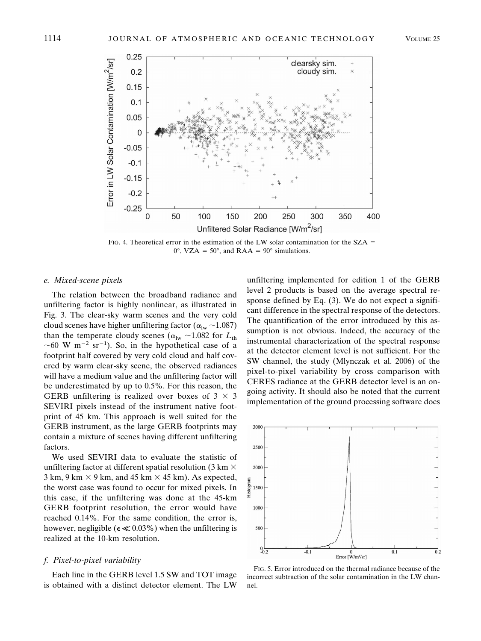

FIG. 4. Theoretical error in the estimation of the LW solar contamination for the  $SZA$  =  $0^{\circ}$ , VZA = 50°, and RAA = 90° simulations.

### *e. Mixed-scene pixels*

The relation between the broadband radiance and unfiltering factor is highly nonlinear, as illustrated in Fig. 3. The clear-sky warm scenes and the very cold cloud scenes have higher unfiltering factor ( $\alpha_{\text{lw}} \sim 1.087$ ) than the temperate cloudy scenes ( $\alpha_{\text{lw}} \sim 1.082$  for  $L_{\text{th}}$ ~60 W m<sup>-2</sup> sr<sup>-1</sup>). So, in the hypothetical case of a footprint half covered by very cold cloud and half covered by warm clear-sky scene, the observed radiances will have a medium value and the unfiltering factor will be underestimated by up to 0.5%. For this reason, the GERB unfiltering is realized over boxes of  $3 \times 3$ SEVIRI pixels instead of the instrument native footprint of 45 km. This approach is well suited for the GERB instrument, as the large GERB footprints may contain a mixture of scenes having different unfiltering factors.

We used SEVIRI data to evaluate the statistic of unfiltering factor at different spatial resolution (3 km  $\times$  $3 \text{ km}, 9 \text{ km} \times 9 \text{ km}, \text{ and } 45 \text{ km} \times 45 \text{ km}$ . As expected, the worst case was found to occur for mixed pixels. In this case, if the unfiltering was done at the 45-km GERB footprint resolution, the error would have reached 0.14%. For the same condition, the error is, however, negligible ( $\epsilon \ll 0.03\%$ ) when the unfiltering is realized at the 10-km resolution.

### *f. Pixel-to-pixel variability*

Each line in the GERB level 1.5 SW and TOT image is obtained with a distinct detector element. The LW unfiltering implemented for edition 1 of the GERB level 2 products is based on the average spectral response defined by Eq. (3). We do not expect a significant difference in the spectral response of the detectors. The quantification of the error introduced by this assumption is not obvious. Indeed, the accuracy of the instrumental characterization of the spectral response at the detector element level is not sufficient. For the SW channel, the study (Mlynczak et al. 2006) of the pixel-to-pixel variability by cross comparison with CERES radiance at the GERB detector level is an ongoing activity. It should also be noted that the current implementation of the ground processing software does



FIG. 5. Error introduced on the thermal radiance because of the incorrect subtraction of the solar contamination in the LW channel.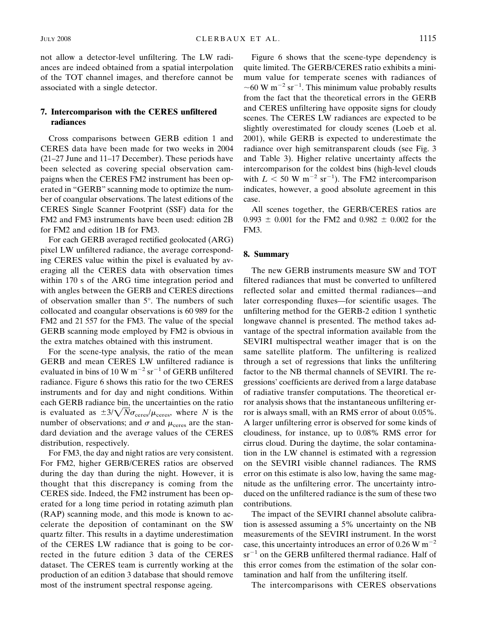not allow a detector-level unfiltering. The LW radiances are indeed obtained from a spatial interpolation of the TOT channel images, and therefore cannot be associated with a single detector.

## **7. Intercomparison with the CERES unfiltered radiances**

Cross comparisons between GERB edition 1 and CERES data have been made for two weeks in 2004 (21–27 June and 11–17 December). These periods have been selected as covering special observation campaigns when the CERES FM2 instrument has been operated in "GERB" scanning mode to optimize the number of coangular observations. The latest editions of the CERES Single Scanner Footprint (SSF) data for the FM2 and FM3 instruments have been used: edition 2B for FM2 and edition 1B for FM3.

For each GERB averaged rectified geolocated (ARG) pixel LW unfiltered radiance, the average corresponding CERES value within the pixel is evaluated by averaging all the CERES data with observation times within 170 s of the ARG time integration period and with angles between the GERB and CERES directions of observation smaller than 5°. The numbers of such collocated and coangular observations is 60 989 for the FM2 and 21 557 for the FM3. The value of the special GERB scanning mode employed by FM2 is obvious in the extra matches obtained with this instrument.

For the scene-type analysis, the ratio of the mean GERB and mean CERES LW unfiltered radiance is evaluated in bins of 10 W  $m^{-2}$  sr<sup>-1</sup> of GERB unfiltered radiance. Figure 6 shows this ratio for the two CERES instruments and for day and night conditions. Within each GERB radiance bin, the uncertainties on the ratio is evaluated as  $\pm 3/\sqrt{N\sigma_{\text{ceres}}/\mu_{\text{ceres}}},$  where *N* is the number of observations; and  $\sigma$  and  $\mu_{\text{ceres}}$  are the standard deviation and the average values of the CERES distribution, respectively.

For FM3, the day and night ratios are very consistent. For FM2, higher GERB/CERES ratios are observed during the day than during the night. However, it is thought that this discrepancy is coming from the CERES side. Indeed, the FM2 instrument has been operated for a long time period in rotating azimuth plan (RAP) scanning mode, and this mode is known to accelerate the deposition of contaminant on the SW quartz filter. This results in a daytime underestimation of the CERES LW radiance that is going to be corrected in the future edition 3 data of the CERES dataset. The CERES team is currently working at the production of an edition 3 database that should remove most of the instrument spectral response ageing.

Figure 6 shows that the scene-type dependency is quite limited. The GERB/CERES ratio exhibits a minimum value for temperate scenes with radiances of  $\sim$  60 W m<sup>-2</sup> sr<sup>-1</sup>. This minimum value probably results from the fact that the theoretical errors in the GERB and CERES unfiltering have opposite signs for cloudy scenes. The CERES LW radiances are expected to be slightly overestimated for cloudy scenes (Loeb et al. 2001), while GERB is expected to underestimate the radiance over high semitransparent clouds (see Fig. 3 and Table 3). Higher relative uncertainty affects the intercomparison for the coldest bins (high-level clouds with  $L < 50$  W m<sup>-2</sup> sr<sup>-1</sup>). The FM2 intercomparison indicates, however, a good absolute agreement in this case.

All scenes together, the GERB/CERES ratios are  $0.993 \pm 0.001$  for the FM2 and  $0.982 \pm 0.002$  for the FM3.

## **8. Summary**

The new GERB instruments measure SW and TOT filtered radiances that must be converted to unfiltered reflected solar and emitted thermal radiances—and later corresponding fluxes—for scientific usages. The unfiltering method for the GERB-2 edition 1 synthetic longwave channel is presented. The method takes advantage of the spectral information available from the SEVIRI multispectral weather imager that is on the same satellite platform. The unfiltering is realized through a set of regressions that links the unfiltering factor to the NB thermal channels of SEVIRI. The regressions' coefficients are derived from a large database of radiative transfer computations. The theoretical error analysis shows that the instantaneous unfiltering error is always small, with an RMS error of about 0.05%. A larger unfiltering error is observed for some kinds of cloudiness, for instance, up to 0.08% RMS error for cirrus cloud. During the daytime, the solar contamination in the LW channel is estimated with a regression on the SEVIRI visible channel radiances. The RMS error on this estimate is also low, having the same magnitude as the unfiltering error. The uncertainty introduced on the unfiltered radiance is the sum of these two contributions.

The impact of the SEVIRI channel absolute calibration is assessed assuming a 5% uncertainty on the NB measurements of the SEVIRI instrument. In the worst case, this uncertainty introduces an error of 0.26 W  $\text{m}^{-2}$  $sr^{-1}$  on the GERB unfiltered thermal radiance. Half of this error comes from the estimation of the solar contamination and half from the unfiltering itself.

The intercomparisons with CERES observations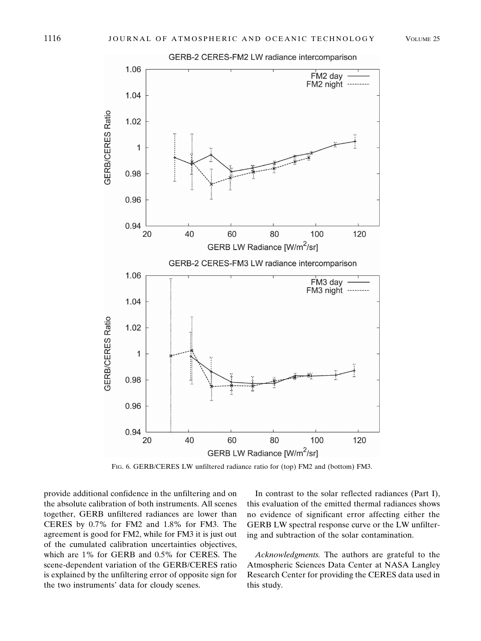GERB-2 CERES-FM2 LW radiance intercomparison



FIG. 6. GERB/CERES LW unfiltered radiance ratio for (top) FM2 and (bottom) FM3.

provide additional confidence in the unfiltering and on the absolute calibration of both instruments. All scenes together, GERB unfiltered radiances are lower than CERES by 0.7% for FM2 and 1.8% for FM3. The agreement is good for FM2, while for FM3 it is just out of the cumulated calibration uncertainties objectives, which are 1% for GERB and 0.5% for CERES. The scene-dependent variation of the GERB/CERES ratio is explained by the unfiltering error of opposite sign for the two instruments' data for cloudy scenes.

In contrast to the solar reflected radiances (Part I), this evaluation of the emitted thermal radiances shows no evidence of significant error affecting either the GERB LW spectral response curve or the LW unfiltering and subtraction of the solar contamination.

*Acknowledgments.* The authors are grateful to the Atmospheric Sciences Data Center at NASA Langley Research Center for providing the CERES data used in this study.